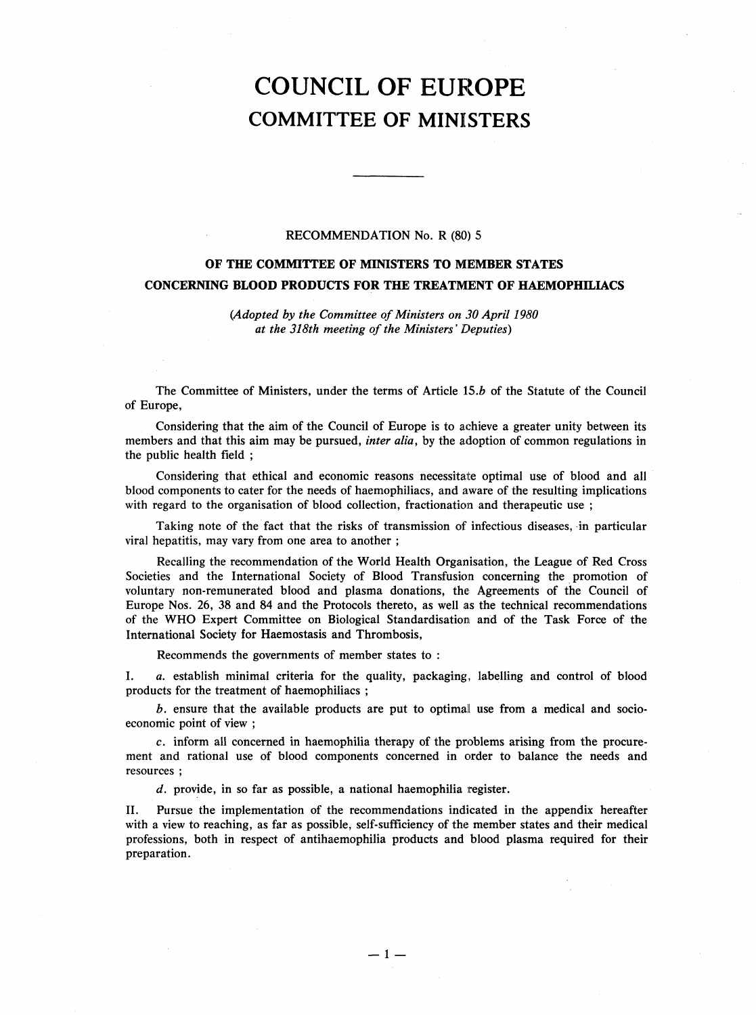## COUNCIL OF EUROPE COMMITTEE OF MINISTERS

## RECOMMENDATION No. R (80) 5

## OF THE COMMITTEE OF MINISTERS TO MEMBER STATES CONCERNING BLOOD PRODUCTS FOR THE TREATMENT OF HAEMOPHILIACS

(Adopted by the Committee of Ministers on 30 April 1980 at the 318th meeting of the Ministers' Deputies)

The Committee of Ministers, under the terms of Article 15.b of the Statute of the Council of Europe,

Considering that the aim of the Council of Europe is to achieve a greater unity between its members and that this aim may be pursued, *inter alia*, by the adoption of common regulations in the public health field;

Considering that ethical and economic reasons necessitate optimal use of blood and all blood components to cater for the needs of haemophiliacs, and aware of the resulting implications with regard to the organisation of blood collection, fractionation and therapeutic use;

Taking note of the fact that the risks of transmission of infectious diseases, in particular viral hepatitis, may vary from one area to another;

Recalling the recommendation of the World Health Organisation, the League of Red Cross Societies and the International Society of Blood Transfusion concerning the promotion of voluntary non-remunerated blood and plasma donations, the Agreements of the Council of Europe Nos. 26, 38 and 84 and the Protocols thereto, as well as the technical recommendations of the WHO Expert Committee on Biological Standardisation and of the Task Force of the International Society for Haemostasis and Thrombosis,

Recommends the governments of member states to:

I. a. establish minimal criteria for the quality, packaging, labelling and control of blood products for the treatment of haemophiliacs;

b. ensure that the available products are put to optimal use from a medical and socioeconomic point of view;

c. inform all concerned in haemophilia therapy of the problems arising from the procurement and rational use of blood components concerned in order to balance the needs and resources;

d. provide, in so far as possible, a national haemophilia register.

II. Pursue the implementation of the recommendations indicated in the appendix hereafter with a view to reaching, as far as possible, self-sufficiency of the member states and their medical professions, both in respect of antihaemophilia products and blood plasma required for their preparation.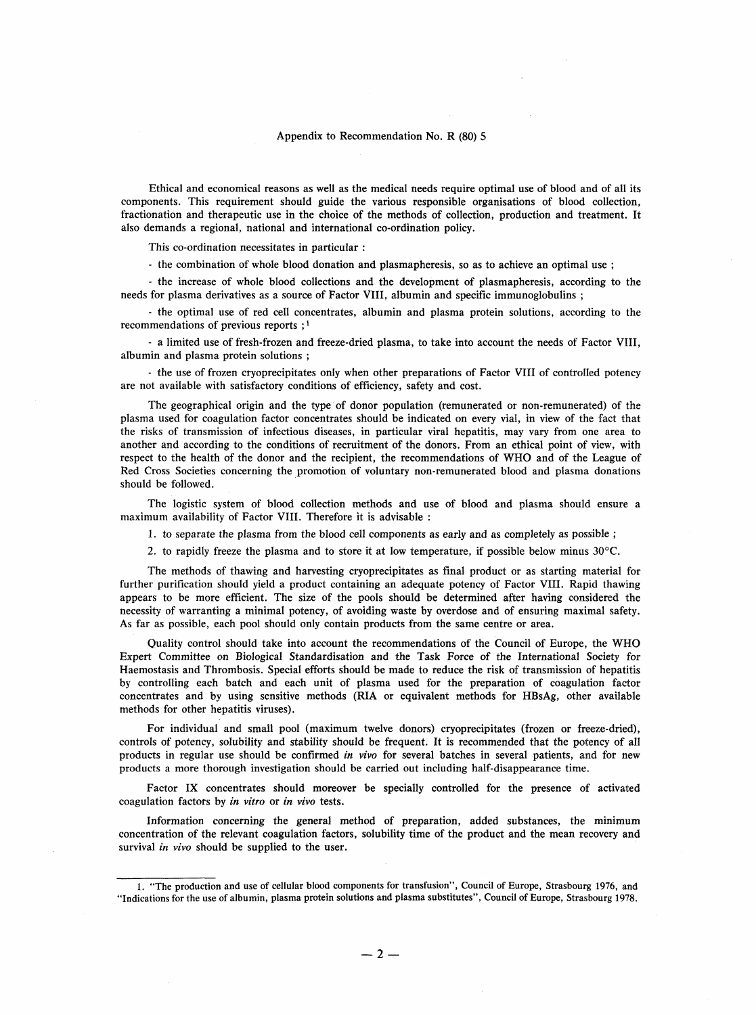## Appendix to Recommendation No. R (80) 5

Ethical and economical reasons as well as the medical needs require optimal use of blood and of all its components. This requirement should guide the various responsible organisations of blood collection, fractionation and therapeutic use in the choice of the methods of collection, production and treatment. It also demands a regional, national and international co-ordination policy.

This co-ordination necessitates in particular:

- the combination of whole blood donation and plasmapheresis, so as to achieve an optimal use;

- the increase of whole blood collections and the development of plasmapheresis, according to the needs for plasma derivatives as a source of Factor VIII, albumin and specific immunoglobulins;

- the optimal use of red cell concentrates, albumin and plasma protein solutions, according to the recommendations of previous reports;<sup>1</sup>

- a limited use of fresh-frozen and freeze-dried plasma, to take into account the needs of Factor VIII, albumin and plasma protein solutions;

- the use of frozen cryoprecipitates only when other preparations of Factor VIII of controlled potency are not available with satisfactory conditions of efficiency, safety and cost.

The geographical origin and the type of donor population (remunerated or non-remunerated) of the plasma used for coagulation factor concentrates should be indicated on every vial, in view of the fact that the risks of transmission of infectious diseases, in particular viral hepatitis, may vary from one area to another and according to the conditions of recruitment of the donors. From an ethical point of view, with respect to the health of the donor and the recipient, the recommendations of WHO and of the League of Red Cross Societies concerning the promotion of voluntary non-remunerated blood and plasma donations should be followed.

The logistic system of blood collection methods and use of blood and plasma should ensure a maximum availability of Factor VIII. Therefore it is advisable:

1. to separate the plasma from the blood cell components as early and as completely as possible;

2. to rapidly freeze the plasma and to store it at low temperature, if possible below minus 30°C.

The methods of thawing and harvesting cryoprecipitates as final product or as starting material for further purification should yield a product containing an adequate potency of Factor VIII. Rapid thawing appears to be more efficient. The size of the pools should be determined after having considered the necessity of warranting a minimal potency, of avoiding waste by overdose and of ensuring maximal safety. As far as possible, each pool should only contain products from the same centre or area.

Quality control should take into account the recommendations of the Council of Europe, the WHO Expert Committee on Biological Standardisation and the Task Force of the International Society for Haemostasis and Thrombosis. Special efforts should be made to reduce the risk of transmission of hepatitis by controlling each batch and each unit of plasma used for the preparation of coagulation factor concentrates and by using sensitive methods (RIA or equivalent methods for HBsAg, other available methods for other hepatitis viruses).

For individual and small pool (maximum twelve donors) cryoprecipitates (frozen or freeze-dried), controls of potency, solubility and stability should be frequent. It is recommended that the potency of all products in regular use should be confirmed in vivo for several batches in several patients, and for new products a more thorough investigation should be carried out including half-disappearance time.

Factor IX concentrates should moreover be specially controlled for the presence of activated coagulation factors by in vitro or in vivo tests.

Information concerning the general method of preparation, added substances, the minimum concentration of the relevant coagulation factors, solubility time of the product and the mean recovery and survival in vivo should be supplied to the user.

<sup>1. &</sup>quot;The production and use of cellular blood components for transfusion", Council of Europe, Strasbourg 1976, and "Indications for the use of albumin, plasma protein solutions and plasma substitutes", Council of Europe, Strasbourg 1978.